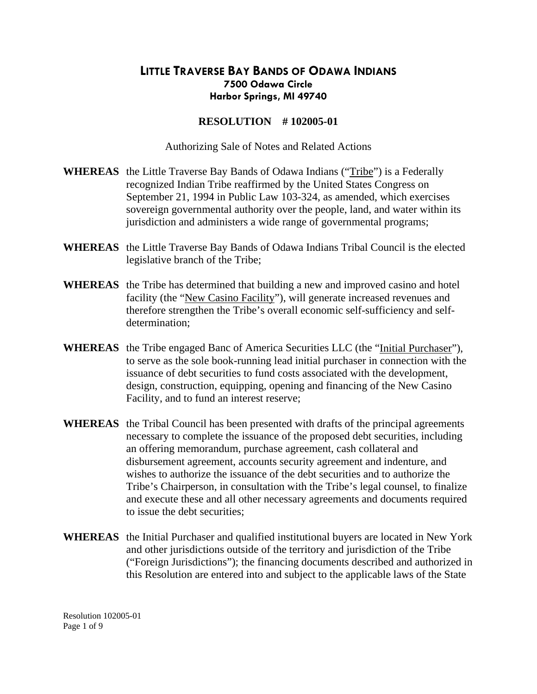## **LITTLE TRAVERSE BAY BANDS OF ODAWA INDIANS 7500 Odawa Circle Harbor Springs, MI 49740**

## **RESOLUTION # 102005-01**

Authorizing Sale of Notes and Related Actions

- **WHEREAS** the Little Traverse Bay Bands of Odawa Indians ("Tribe") is a Federally recognized Indian Tribe reaffirmed by the United States Congress on September 21, 1994 in Public Law 103-324, as amended, which exercises sovereign governmental authority over the people, land, and water within its jurisdiction and administers a wide range of governmental programs;
- **WHEREAS** the Little Traverse Bay Bands of Odawa Indians Tribal Council is the elected legislative branch of the Tribe;
- **WHEREAS** the Tribe has determined that building a new and improved casino and hotel facility (the "New Casino Facility"), will generate increased revenues and therefore strengthen the Tribe's overall economic self-sufficiency and selfdetermination;
- **WHEREAS** the Tribe engaged Banc of America Securities LLC (the "Initial Purchaser"), to serve as the sole book-running lead initial purchaser in connection with the issuance of debt securities to fund costs associated with the development, design, construction, equipping, opening and financing of the New Casino Facility, and to fund an interest reserve;
- **WHEREAS** the Tribal Council has been presented with drafts of the principal agreements necessary to complete the issuance of the proposed debt securities, including an offering memorandum, purchase agreement, cash collateral and disbursement agreement, accounts security agreement and indenture, and wishes to authorize the issuance of the debt securities and to authorize the Tribe's Chairperson, in consultation with the Tribe's legal counsel, to finalize and execute these and all other necessary agreements and documents required to issue the debt securities;
- **WHEREAS** the Initial Purchaser and qualified institutional buyers are located in New York and other jurisdictions outside of the territory and jurisdiction of the Tribe ("Foreign Jurisdictions"); the financing documents described and authorized in this Resolution are entered into and subject to the applicable laws of the State

Resolution 102005-01 Page 1 of 9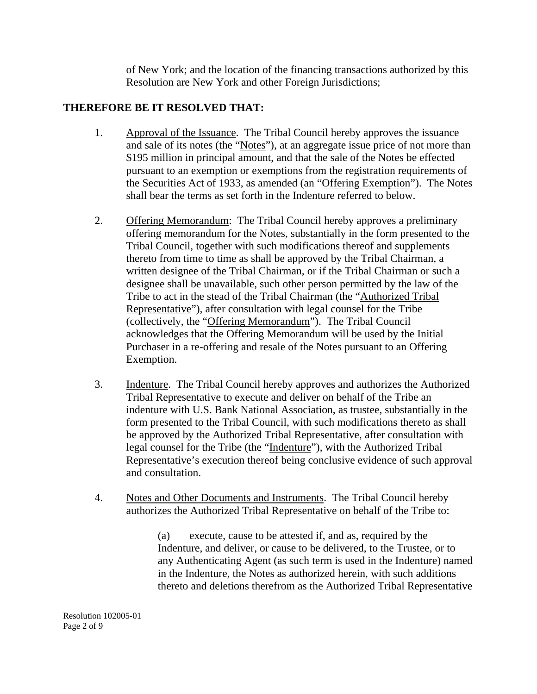of New York; and the location of the financing transactions authorized by this Resolution are New York and other Foreign Jurisdictions;

## **THEREFORE BE IT RESOLVED THAT:**

- 1. Approval of the Issuance. The Tribal Council hereby approves the issuance and sale of its notes (the "Notes"), at an aggregate issue price of not more than \$195 million in principal amount, and that the sale of the Notes be effected pursuant to an exemption or exemptions from the registration requirements of the Securities Act of 1933, as amended (an "Offering Exemption"). The Notes shall bear the terms as set forth in the Indenture referred to below.
- 2. Offering Memorandum: The Tribal Council hereby approves a preliminary offering memorandum for the Notes, substantially in the form presented to the Tribal Council, together with such modifications thereof and supplements thereto from time to time as shall be approved by the Tribal Chairman, a written designee of the Tribal Chairman, or if the Tribal Chairman or such a designee shall be unavailable, such other person permitted by the law of the Tribe to act in the stead of the Tribal Chairman (the "Authorized Tribal Representative"), after consultation with legal counsel for the Tribe (collectively, the "Offering Memorandum"). The Tribal Council acknowledges that the Offering Memorandum will be used by the Initial Purchaser in a re-offering and resale of the Notes pursuant to an Offering Exemption.
- 3. Indenture. The Tribal Council hereby approves and authorizes the Authorized Tribal Representative to execute and deliver on behalf of the Tribe an indenture with U.S. Bank National Association, as trustee, substantially in the form presented to the Tribal Council, with such modifications thereto as shall be approved by the Authorized Tribal Representative, after consultation with legal counsel for the Tribe (the "Indenture"), with the Authorized Tribal Representative's execution thereof being conclusive evidence of such approval and consultation.
- 4. Notes and Other Documents and Instruments. The Tribal Council hereby authorizes the Authorized Tribal Representative on behalf of the Tribe to:

 (a) execute, cause to be attested if, and as, required by the Indenture, and deliver, or cause to be delivered, to the Trustee, or to any Authenticating Agent (as such term is used in the Indenture) named in the Indenture, the Notes as authorized herein, with such additions thereto and deletions therefrom as the Authorized Tribal Representative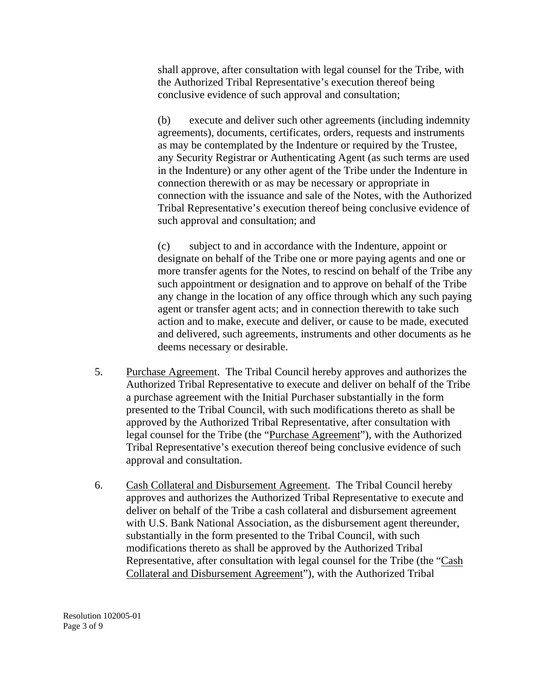shall approve, after consultation with legal counsel for the Tribe, with the Authorized Tribal Representative's execution thereof being conclusive evidence of such approval and consultation;

 (b) execute and deliver such other agreements (including indemnity agreements), documents, certificates, orders, requests and instruments as may be contemplated by the Indenture or required by the Trustee, any Security Registrar or Authenticating Agent (as such terms are used in the Indenture) or any other agent of the Tribe under the Indenture in connection therewith or as may be necessary or appropriate in connection with the issuance and sale of the Notes, with the Authorized Tribal Representative's execution thereof being conclusive evidence of such approval and consultation; and

 (c) subject to and in accordance with the Indenture, appoint or designate on behalf of the Tribe one or more paying agents and one or more transfer agents for the Notes, to rescind on behalf of the Tribe any such appointment or designation and to approve on behalf of the Tribe any change in the location of any office through which any such paying agent or transfer agent acts; and in connection therewith to take such action and to make, execute and deliver, or cause to be made, executed and delivered, such agreements, instruments and other documents as he deems necessary or desirable.

- 5. Purchase Agreement. The Tribal Council hereby approves and authorizes the Authorized Tribal Representative to execute and deliver on behalf of the Tribe a purchase agreement with the Initial Purchaser substantially in the form presented to the Tribal Council, with such modifications thereto as shall be approved by the Authorized Tribal Representative, after consultation with legal counsel for the Tribe (the "Purchase Agreement"), with the Authorized Tribal Representative's execution thereof being conclusive evidence of such approval and consultation.
- 6. Cash Collateral and Disbursement Agreement. The Tribal Council hereby approves and authorizes the Authorized Tribal Representative to execute and deliver on behalf of the Tribe a cash collateral and disbursement agreement with U.S. Bank National Association, as the disbursement agent thereunder, substantially in the form presented to the Tribal Council, with such modifications thereto as shall be approved by the Authorized Tribal Representative, after consultation with legal counsel for the Tribe (the "Cash Collateral and Disbursement Agreement"), with the Authorized Tribal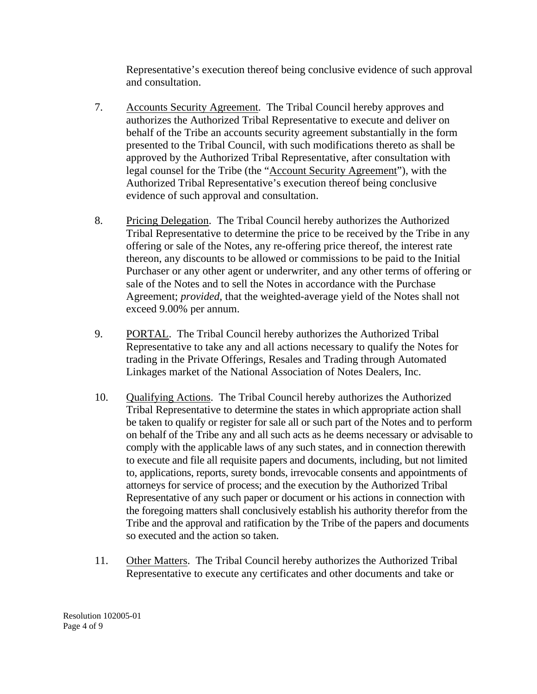Representative's execution thereof being conclusive evidence of such approval and consultation.

- 7. Accounts Security Agreement. The Tribal Council hereby approves and authorizes the Authorized Tribal Representative to execute and deliver on behalf of the Tribe an accounts security agreement substantially in the form presented to the Tribal Council, with such modifications thereto as shall be approved by the Authorized Tribal Representative, after consultation with legal counsel for the Tribe (the "Account Security Agreement"), with the Authorized Tribal Representative's execution thereof being conclusive evidence of such approval and consultation.
- 8. Pricing Delegation. The Tribal Council hereby authorizes the Authorized Tribal Representative to determine the price to be received by the Tribe in any offering or sale of the Notes, any re-offering price thereof, the interest rate thereon, any discounts to be allowed or commissions to be paid to the Initial Purchaser or any other agent or underwriter, and any other terms of offering or sale of the Notes and to sell the Notes in accordance with the Purchase Agreement; *provided*, that the weighted-average yield of the Notes shall not exceed 9.00% per annum.
- 9. PORTAL. The Tribal Council hereby authorizes the Authorized Tribal Representative to take any and all actions necessary to qualify the Notes for trading in the Private Offerings, Resales and Trading through Automated Linkages market of the National Association of Notes Dealers, Inc.
- 10. Qualifying Actions. The Tribal Council hereby authorizes the Authorized Tribal Representative to determine the states in which appropriate action shall be taken to qualify or register for sale all or such part of the Notes and to perform on behalf of the Tribe any and all such acts as he deems necessary or advisable to comply with the applicable laws of any such states, and in connection therewith to execute and file all requisite papers and documents, including, but not limited to, applications, reports, surety bonds, irrevocable consents and appointments of attorneys for service of process; and the execution by the Authorized Tribal Representative of any such paper or document or his actions in connection with the foregoing matters shall conclusively establish his authority therefor from the Tribe and the approval and ratification by the Tribe of the papers and documents so executed and the action so taken.
- 11. Other Matters. The Tribal Council hereby authorizes the Authorized Tribal Representative to execute any certificates and other documents and take or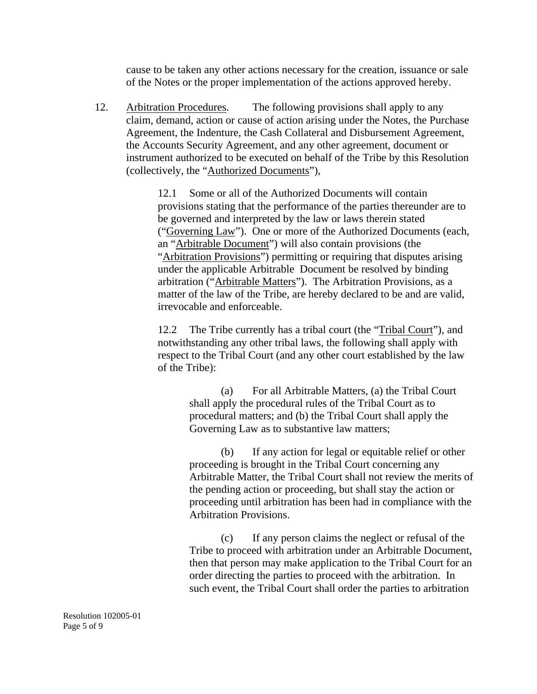cause to be taken any other actions necessary for the creation, issuance or sale of the Notes or the proper implementation of the actions approved hereby.

 12. Arbitration Procedures. The following provisions shall apply to any claim, demand, action or cause of action arising under the Notes, the Purchase Agreement, the Indenture, the Cash Collateral and Disbursement Agreement, the Accounts Security Agreement, and any other agreement, document or instrument authorized to be executed on behalf of the Tribe by this Resolution (collectively, the "Authorized Documents"),

> 12.1 Some or all of the Authorized Documents will contain provisions stating that the performance of the parties thereunder are to be governed and interpreted by the law or laws therein stated ("Governing Law"). One or more of the Authorized Documents (each, an "Arbitrable Document") will also contain provisions (the "Arbitration Provisions") permitting or requiring that disputes arising under the applicable Arbitrable Document be resolved by binding arbitration ("Arbitrable Matters"). The Arbitration Provisions, as a matter of the law of the Tribe, are hereby declared to be and are valid, irrevocable and enforceable.

 12.2 The Tribe currently has a tribal court (the "Tribal Court"), and notwithstanding any other tribal laws, the following shall apply with respect to the Tribal Court (and any other court established by the law of the Tribe):

> (a) For all Arbitrable Matters, (a) the Tribal Court shall apply the procedural rules of the Tribal Court as to procedural matters; and (b) the Tribal Court shall apply the Governing Law as to substantive law matters;

 (b) If any action for legal or equitable relief or other proceeding is brought in the Tribal Court concerning any Arbitrable Matter, the Tribal Court shall not review the merits of the pending action or proceeding, but shall stay the action or proceeding until arbitration has been had in compliance with the Arbitration Provisions.

 (c) If any person claims the neglect or refusal of the Tribe to proceed with arbitration under an Arbitrable Document, then that person may make application to the Tribal Court for an order directing the parties to proceed with the arbitration. In such event, the Tribal Court shall order the parties to arbitration

Resolution 102005-01 Page 5 of 9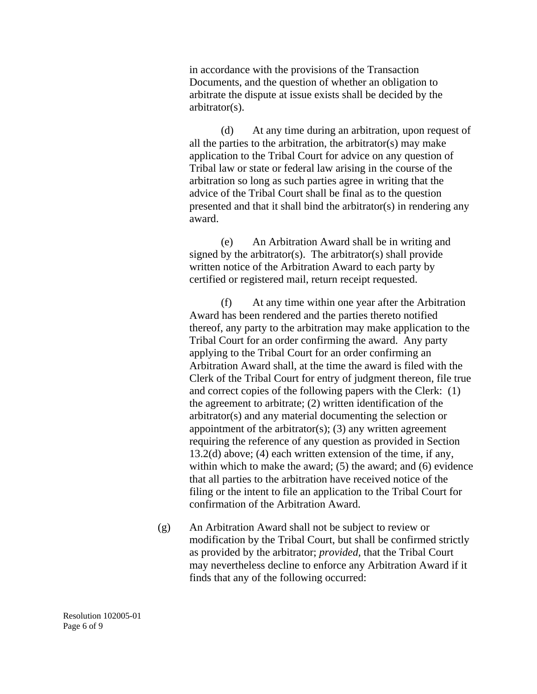in accordance with the provisions of the Transaction Documents, and the question of whether an obligation to arbitrate the dispute at issue exists shall be decided by the arbitrator(s).

 (d) At any time during an arbitration, upon request of all the parties to the arbitration, the arbitrator(s) may make application to the Tribal Court for advice on any question of Tribal law or state or federal law arising in the course of the arbitration so long as such parties agree in writing that the advice of the Tribal Court shall be final as to the question presented and that it shall bind the arbitrator(s) in rendering any award.

 (e) An Arbitration Award shall be in writing and signed by the arbitrator(s). The arbitrator(s) shall provide written notice of the Arbitration Award to each party by certified or registered mail, return receipt requested.

 (f) At any time within one year after the Arbitration Award has been rendered and the parties thereto notified thereof, any party to the arbitration may make application to the Tribal Court for an order confirming the award. Any party applying to the Tribal Court for an order confirming an Arbitration Award shall, at the time the award is filed with the Clerk of the Tribal Court for entry of judgment thereon, file true and correct copies of the following papers with the Clerk: (1) the agreement to arbitrate; (2) written identification of the arbitrator(s) and any material documenting the selection or appointment of the arbitrator $(s)$ ;  $(3)$  any written agreement requiring the reference of any question as provided in Section 13.2(d) above; (4) each written extension of the time, if any, within which to make the award; (5) the award; and (6) evidence that all parties to the arbitration have received notice of the filing or the intent to file an application to the Tribal Court for confirmation of the Arbitration Award.

(g) An Arbitration Award shall not be subject to review or modification by the Tribal Court, but shall be confirmed strictly as provided by the arbitrator; *provided,* that the Tribal Court may nevertheless decline to enforce any Arbitration Award if it finds that any of the following occurred:

Resolution 102005-01 Page 6 of 9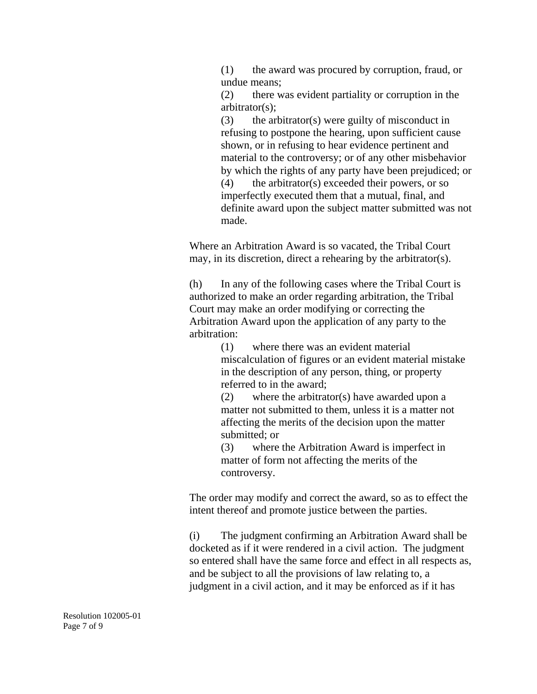(1) the award was procured by corruption, fraud, or undue means;

 (2) there was evident partiality or corruption in the arbitrator(s);

 (3) the arbitrator(s) were guilty of misconduct in refusing to postpone the hearing, upon sufficient cause shown, or in refusing to hear evidence pertinent and material to the controversy; or of any other misbehavior by which the rights of any party have been prejudiced; or (4) the arbitrator(s) exceeded their powers, or so imperfectly executed them that a mutual, final, and definite award upon the subject matter submitted was not made.

Where an Arbitration Award is so vacated, the Tribal Court may, in its discretion, direct a rehearing by the arbitrator(s).

 (h) In any of the following cases where the Tribal Court is authorized to make an order regarding arbitration, the Tribal Court may make an order modifying or correcting the Arbitration Award upon the application of any party to the arbitration:

 (1) where there was an evident material miscalculation of figures or an evident material mistake in the description of any person, thing, or property referred to in the award;

 (2) where the arbitrator(s) have awarded upon a matter not submitted to them, unless it is a matter not affecting the merits of the decision upon the matter submitted; or

 (3) where the Arbitration Award is imperfect in matter of form not affecting the merits of the controversy.

The order may modify and correct the award, so as to effect the intent thereof and promote justice between the parties.

 (i) The judgment confirming an Arbitration Award shall be docketed as if it were rendered in a civil action. The judgment so entered shall have the same force and effect in all respects as, and be subject to all the provisions of law relating to, a judgment in a civil action, and it may be enforced as if it has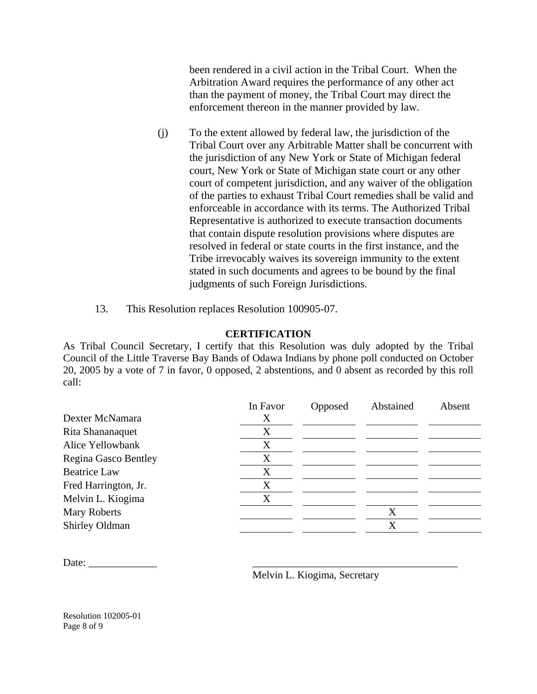been rendered in a civil action in the Tribal Court. When the Arbitration Award requires the performance of any other act than the payment of money, the Tribal Court may direct the enforcement thereon in the manner provided by law.

- (j) To the extent allowed by federal law, the jurisdiction of the Tribal Court over any Arbitrable Matter shall be concurrent with the jurisdiction of any New York or State of Michigan federal court, New York or State of Michigan state court or any other court of competent jurisdiction, and any waiver of the obligation of the parties to exhaust Tribal Court remedies shall be valid and enforceable in accordance with its terms. The Authorized Tribal Representative is authorized to execute transaction documents that contain dispute resolution provisions where disputes are resolved in federal or state courts in the first instance, and the Tribe irrevocably waives its sovereign immunity to the extent stated in such documents and agrees to be bound by the final judgments of such Foreign Jurisdictions.
- 13. This Resolution replaces Resolution 100905-07.

## **CERTIFICATION**

As Tribal Council Secretary, I certify that this Resolution was duly adopted by the Tribal Council of the Little Traverse Bay Bands of Odawa Indians by phone poll conducted on October 20, 2005 by a vote of 7 in favor, 0 opposed, 2 abstentions, and 0 absent as recorded by this roll call:

|                      | In Favor | Opposed | Abstained | Absent |
|----------------------|----------|---------|-----------|--------|
| Dexter McNamara      | Χ        |         |           |        |
| Rita Shananaquet     | X        |         |           |        |
| Alice Yellowbank     | X        |         |           |        |
| Regina Gasco Bentley | X        |         |           |        |
| <b>Beatrice Law</b>  | X        |         |           |        |
| Fred Harrington, Jr. | X        |         |           |        |
| Melvin L. Kiogima    | X        |         |           |        |
| <b>Mary Roberts</b>  |          |         | Χ         |        |
| Shirley Oldman       |          |         | X         |        |
|                      |          |         |           |        |

Date: \_\_\_\_\_\_\_\_\_\_\_\_\_ \_\_\_\_\_\_\_\_\_\_\_\_\_\_\_\_\_\_\_\_\_\_\_\_\_\_\_\_\_\_\_\_\_\_\_\_\_\_\_

Melvin L. Kiogima, Secretary

Resolution 102005-01 Page 8 of 9